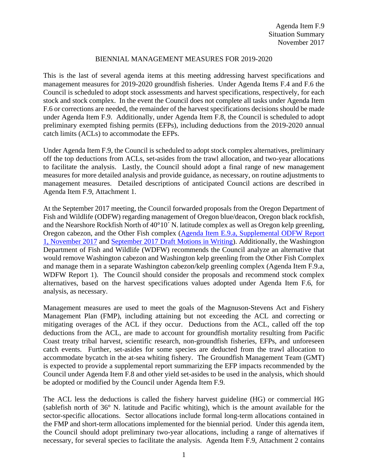## BIENNIAL MANAGEMENT MEASURES FOR 2019-2020

This is the last of several agenda items at this meeting addressing harvest specifications and management measures for 2019-2020 groundfish fisheries. Under Agenda Items F.4 and F.6 the Council is scheduled to adopt stock assessments and harvest specifications, respectively, for each stock and stock complex. In the event the Council does not complete all tasks under Agenda Item F.6 or corrections are needed, the remainder of the harvest specifications decisions should be made under Agenda Item F.9. Additionally, under Agenda Item F.8, the Council is scheduled to adopt preliminary exempted fishing permits (EFPs), including deductions from the 2019-2020 annual catch limits (ACLs) to accommodate the EFPs.

Under Agenda Item F.9, the Council is scheduled to adopt stock complex alternatives, preliminary off the top deductions from ACLs, set-asides from the trawl allocation, and two-year allocations to facilitate the analysis. Lastly, the Council should adopt a final range of new management measures for more detailed analysis and provide guidance, as necessary, on routine adjustments to management measures. Detailed descriptions of anticipated Council actions are described in Agenda Item F.9, Attachment 1.

At the September 2017 meeting, the Council forwarded proposals from the Oregon Department of Fish and Wildlife (ODFW) regarding management of Oregon blue/deacon, Oregon black rockfish, and the Nearshore Rockfish North of 40°10´ N. latitude complex as well as Oregon kelp greenling, Oregon cabezon, and the Other Fish complex [\(Agenda Item E.9.a, Supplemental ODFW Report](http://www.pcouncil.org/wp-content/uploads/2017/09/E9a_Sup_ODFW_Rpt1_SEPT2017BB.pdf)  [1, November 2017](http://www.pcouncil.org/wp-content/uploads/2017/09/E9a_Sup_ODFW_Rpt1_SEPT2017BB.pdf) and [September 2017 Draft Motions in Writing\)](http://www.pcouncil.org/wp-content/uploads/2017/09/E9_CouncilAction_September2017.pdf). Additionally, the Washington Department of Fish and Wildlife (WDFW) recommends the Council analyze an alternative that would remove Washington cabezon and Washington kelp greenling from the Other Fish Complex and manage them in a separate Washington cabezon/kelp greenling complex (Agenda Item F.9.a, WDFW Report 1). The Council should consider the proposals and recommend stock complex alternatives, based on the harvest specifications values adopted under Agenda Item F.6, for analysis, as necessary.

Management measures are used to meet the goals of the Magnuson-Stevens Act and Fishery Management Plan (FMP), including attaining but not exceeding the ACL and correcting or mitigating overages of the ACL if they occur. Deductions from the ACL, called off the top deductions from the ACL, are made to account for groundfish mortality resulting from Pacific Coast treaty tribal harvest, scientific research, non-groundfish fisheries, EFPs, and unforeseen catch events. Further, set-asides for some species are deducted from the trawl allocation to accommodate bycatch in the at-sea whiting fishery. The Groundfish Management Team (GMT) is expected to provide a supplemental report summarizing the EFP impacts recommended by the Council under Agenda Item F.8 and other yield set-asides to be used in the analysis, which should be adopted or modified by the Council under Agenda Item F.9.

The ACL less the deductions is called the fishery harvest guideline (HG) or commercial HG (sablefish north of 36° N. latitude and Pacific whiting), which is the amount available for the sector-specific allocations. Sector allocations include formal long-term allocations contained in the FMP and short-term allocations implemented for the biennial period. Under this agenda item, the Council should adopt preliminary two-year allocations, including a range of alternatives if necessary, for several species to facilitate the analysis. Agenda Item F.9, Attachment 2 contains